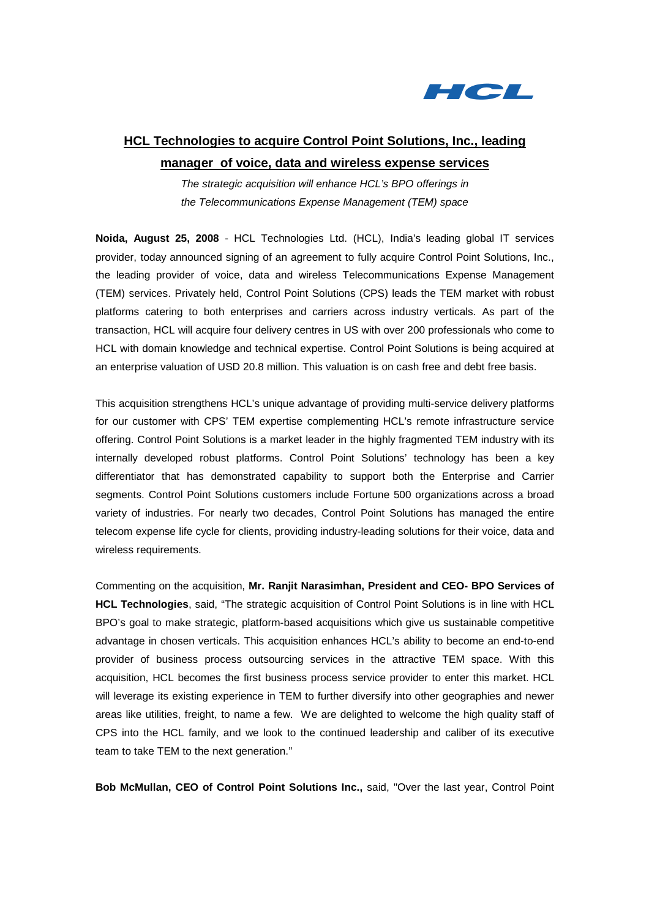

# **HCL Technologies to acquire Control Point Solutions, Inc., leading manager of voice, data and wireless expense services**

The strategic acquisition will enhance HCL's BPO offerings in the Telecommunications Expense Management (TEM) space

**Noida, August 25, 2008** - HCL Technologies Ltd. (HCL), India's leading global IT services provider, today announced signing of an agreement to fully acquire Control Point Solutions, Inc., the leading provider of voice, data and wireless Telecommunications Expense Management (TEM) services. Privately held, Control Point Solutions (CPS) leads the TEM market with robust platforms catering to both enterprises and carriers across industry verticals. As part of the transaction, HCL will acquire four delivery centres in US with over 200 professionals who come to HCL with domain knowledge and technical expertise. Control Point Solutions is being acquired at an enterprise valuation of USD 20.8 million. This valuation is on cash free and debt free basis.

This acquisition strengthens HCL's unique advantage of providing multi-service delivery platforms for our customer with CPS' TEM expertise complementing HCL's remote infrastructure service offering. Control Point Solutions is a market leader in the highly fragmented TEM industry with its internally developed robust platforms. Control Point Solutions' technology has been a key differentiator that has demonstrated capability to support both the Enterprise and Carrier segments. Control Point Solutions customers include Fortune 500 organizations across a broad variety of industries. For nearly two decades, Control Point Solutions has managed the entire telecom expense life cycle for clients, providing industry-leading solutions for their voice, data and wireless requirements.

Commenting on the acquisition, **Mr. Ranjit Narasimhan, President and CEO- BPO Services of HCL Technologies**, said, "The strategic acquisition of Control Point Solutions is in line with HCL BPO's goal to make strategic, platform-based acquisitions which give us sustainable competitive advantage in chosen verticals. This acquisition enhances HCL's ability to become an end-to-end provider of business process outsourcing services in the attractive TEM space. With this acquisition, HCL becomes the first business process service provider to enter this market. HCL will leverage its existing experience in TEM to further diversify into other geographies and newer areas like utilities, freight, to name a few. We are delighted to welcome the high quality staff of CPS into the HCL family, and we look to the continued leadership and caliber of its executive team to take TEM to the next generation."

**Bob McMullan, CEO of Control Point Solutions Inc.,** said, "Over the last year, Control Point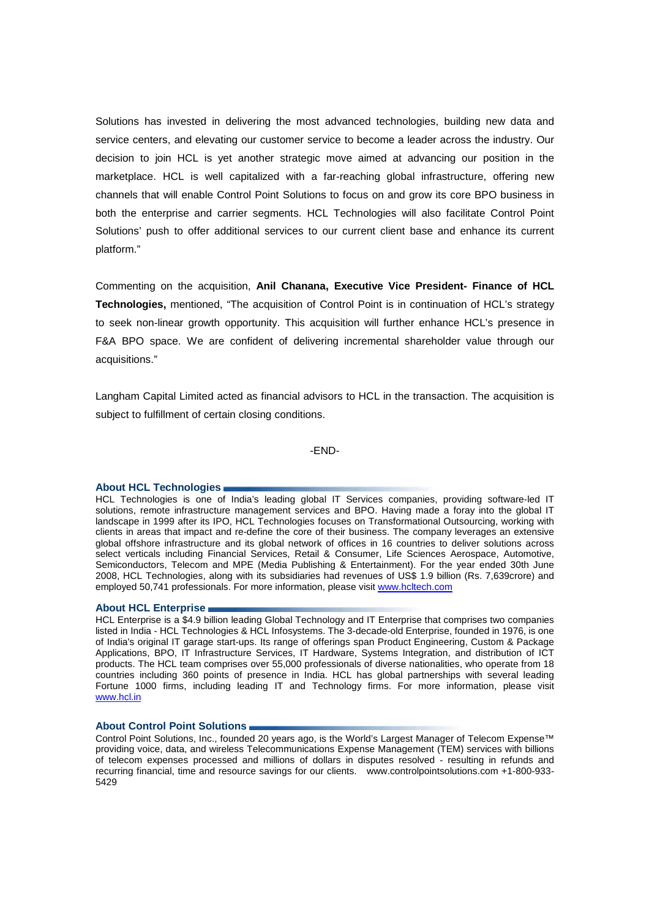Solutions has invested in delivering the most advanced technologies, building new data and service centers, and elevating our customer service to become a leader across the industry. Our decision to join HCL is yet another strategic move aimed at advancing our position in the marketplace. HCL is well capitalized with a far-reaching global infrastructure, offering new channels that will enable Control Point Solutions to focus on and grow its core BPO business in both the enterprise and carrier segments. HCL Technologies will also facilitate Control Point Solutions' push to offer additional services to our current client base and enhance its current platform."

Commenting on the acquisition, **Anil Chanana, Executive Vice President- Finance of HCL Technologies,** mentioned, "The acquisition of Control Point is in continuation of HCL's strategy to seek non-linear growth opportunity. This acquisition will further enhance HCL's presence in F&A BPO space. We are confident of delivering incremental shareholder value through our acquisitions."

Langham Capital Limited acted as financial advisors to HCL in the transaction. The acquisition is subject to fulfillment of certain closing conditions.

-END-

# **About HCL Technologies**

HCL Technologies is one of India's leading global IT Services companies, providing software-led IT solutions, remote infrastructure management services and BPO. Having made a foray into the global IT landscape in 1999 after its IPO, HCL Technologies focuses on Transformational Outsourcing, working with clients in areas that impact and re-define the core of their business. The company leverages an extensive global offshore infrastructure and its global network of offices in 16 countries to deliver solutions across select verticals including Financial Services, Retail & Consumer, Life Sciences Aerospace, Automotive, Semiconductors, Telecom and MPE (Media Publishing & Entertainment). For the year ended 30th June 2008, HCL Technologies, along with its subsidiaries had revenues of US\$ 1.9 billion (Rs. 7,639crore) and employed 50,741 professionals. For more information, please visit www.hcltech.com

# **About HCL Enterprise**

HCL Enterprise is a \$4.9 billion leading Global Technology and IT Enterprise that comprises two companies listed in India - HCL Technologies & HCL Infosystems. The 3-decade-old Enterprise, founded in 1976, is one of India's original IT garage start-ups. Its range of offerings span Product Engineering, Custom & Package Applications, BPO, IT Infrastructure Services, IT Hardware, Systems Integration, and distribution of ICT products. The HCL team comprises over 55,000 professionals of diverse nationalities, who operate from 18 countries including 360 points of presence in India. HCL has global partnerships with several leading Fortune 1000 firms, including leading IT and Technology firms. For more information, please visit www.hcl.in

### **About Control Point Solutions**

Control Point Solutions, Inc., founded 20 years ago, is the World's Largest Manager of Telecom Expense™ providing voice, data, and wireless Telecommunications Expense Management (TEM) services with billions of telecom expenses processed and millions of dollars in disputes resolved - resulting in refunds and recurring financial, time and resource savings for our clients. www.controlpointsolutions.com +1-800-933- 5429